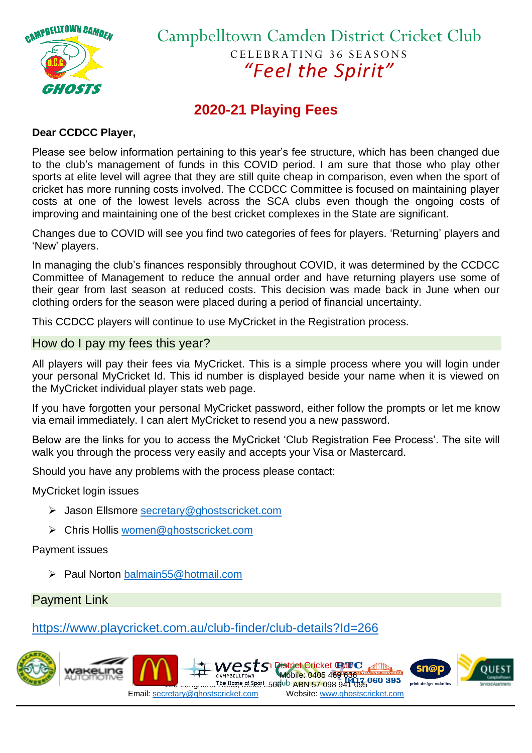

# Campbelltown Camden District Cricket Club CELEBRATING 36 SEASONS *"Feel the Spirit"*

## **2020-21 Playing Fees**

## **Dear CCDCC Player,**

Please see below information pertaining to this year's fee structure, which has been changed due to the club's management of funds in this COVID period. I am sure that those who play other sports at elite level will agree that they are still quite cheap in comparison, even when the sport of cricket has more running costs involved. The CCDCC Committee is focused on maintaining player costs at one of the lowest levels across the SCA clubs even though the ongoing costs of improving and maintaining one of the best cricket complexes in the State are significant.

Changes due to COVID will see you find two categories of fees for players. 'Returning' players and 'New' players.

In managing the club's finances responsibly throughout COVID, it was determined by the CCDCC Committee of Management to reduce the annual order and have returning players use some of their gear from last season at reduced costs. This decision was made back in June when our clothing orders for the season were placed during a period of financial uncertainty.

This CCDCC players will continue to use MyCricket in the Registration process.

#### How do I pay my fees this year?

All players will pay their fees via MyCricket. This is a simple process where you will login under your personal MyCricket Id. This id number is displayed beside your name when it is viewed on the MyCricket individual player stats web page.

If you have forgotten your personal MyCricket password, either follow the prompts or let me know via email immediately. I can alert MyCricket to resend you a new password.

Below are the links for you to access the MyCricket 'Club Registration Fee Process'. The site will walk you through the process very easily and accepts your Visa or Mastercard.

Should you have any problems with the process please contact:

MyCricket login issues

- Jason Ellsmore [secretary@ghostscricket.com](mailto:secretary@ghostscricket.com)
- Chris Hollis [women@ghostscricket.com](mailto:women@ghostscricket.com)

Payment issues

▶ Paul Norton [balmain55@hotmail.com](mailto:balmain55@hotmail.com)

Payment Link

<https://www.playcricket.com.au/club-finder/club-details?Id=266>